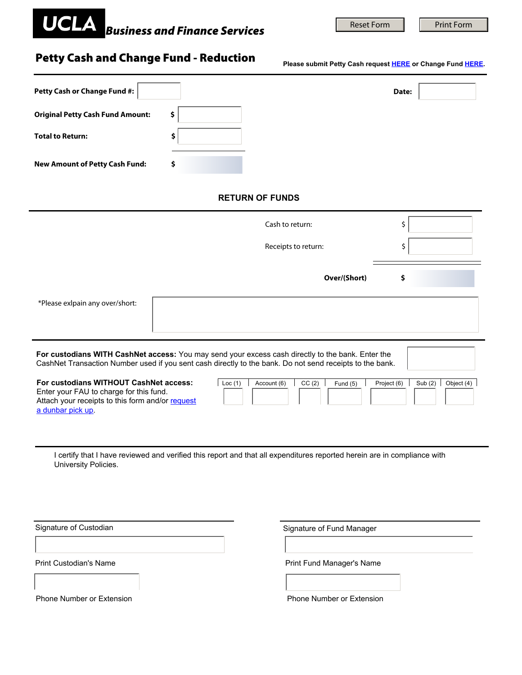## *Business and Finance Services*

Reset Form **Print Form** 

## Petty Cash and Change Fund - Reduction

**Please submit Petty Cash request [HERE](https://sa.ucla.edu/MessageCenter/OneStop/Home/PostMessage?topicId=312) or Change Fund [HERE](https://sa.ucla.edu/MessageCenter/OneStop/Home/PostMessage?topicId=332).**

| Petty Cash or Change Fund #:                                                                                                                                                                                                                    |    |                           | Date:      |
|-------------------------------------------------------------------------------------------------------------------------------------------------------------------------------------------------------------------------------------------------|----|---------------------------|------------|
| <b>Original Petty Cash Fund Amount:</b>                                                                                                                                                                                                         | \$ |                           |            |
| <b>Total to Return:</b>                                                                                                                                                                                                                         | \$ |                           |            |
| <b>New Amount of Petty Cash Fund:</b>                                                                                                                                                                                                           | \$ |                           |            |
| <b>RETURN OF FUNDS</b>                                                                                                                                                                                                                          |    |                           |            |
|                                                                                                                                                                                                                                                 |    | Cash to return:           | \$         |
|                                                                                                                                                                                                                                                 |    | Receipts to return:       | \$         |
|                                                                                                                                                                                                                                                 |    | Over/(Short)              | \$         |
| *Please exlpain any over/short:                                                                                                                                                                                                                 |    |                           |            |
| For custodians WITH CashNet access: You may send your excess cash directly to the bank. Enter the<br>CashNet Transaction Number used if you sent cash directly to the bank. Do not send receipts to the bank.                                   |    |                           |            |
| For custodians WITHOUT CashNet access:<br>$\vert$ Loc (1)<br>Account (6)<br>CC(2)<br>Project (6)<br>Sub $(2)$<br>Fund $(5)$<br>Enter your FAU to charge for this fund.<br>Attach your receipts to this form and/or request<br>a dunbar pick up. |    |                           | Object (4) |
| I certify that I have reviewed and verified this report and that all expenditures reported herein are in compliance with<br>University Policies.                                                                                                |    |                           |            |
| Signature of Custodian                                                                                                                                                                                                                          |    | Signature of Fund Manager |            |
| Print Custodian's Name                                                                                                                                                                                                                          |    | Print Fund Manager's Name |            |
|                                                                                                                                                                                                                                                 |    |                           |            |
| Phone Number or Extension                                                                                                                                                                                                                       |    | Phone Number or Extension |            |